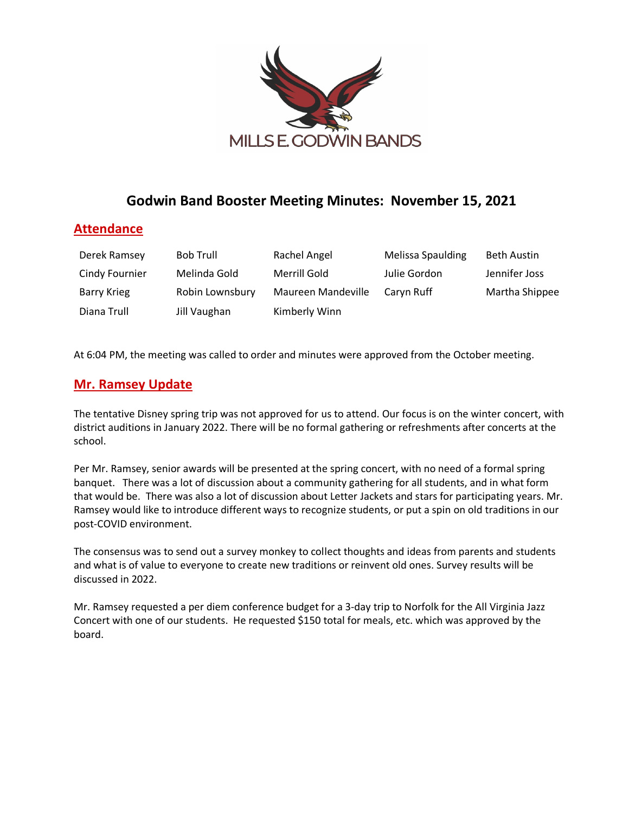

# **Godwin Band Booster Meeting Minutes: November 15, 2021**

## **Attendance**

| Derek Ramsey       | <b>Bob Trull</b> | Rachel Angel       | Melissa Spaulding | <b>Beth Austin</b> |
|--------------------|------------------|--------------------|-------------------|--------------------|
| Cindy Fournier     | Melinda Gold     | Merrill Gold       | Julie Gordon      | Jennifer Joss      |
| <b>Barry Krieg</b> | Robin Lownsbury  | Maureen Mandeville | Caryn Ruff        | Martha Shippee     |
| Diana Trull        | Jill Vaughan     | Kimberly Winn      |                   |                    |

At 6:04 PM, the meeting was called to order and minutes were approved from the October meeting.

### **Mr. Ramsey Update**

The tentative Disney spring trip was not approved for us to attend. Our focus is on the winter concert, with district auditions in January 2022. There will be no formal gathering or refreshments after concerts at the school.

Per Mr. Ramsey, senior awards will be presented at the spring concert, with no need of a formal spring banquet. There was a lot of discussion about a community gathering for all students, and in what form that would be. There was also a lot of discussion about Letter Jackets and stars for participating years. Mr. Ramsey would like to introduce different ways to recognize students, or put a spin on old traditions in our post-COVID environment.

The consensus was to send out a survey monkey to collect thoughts and ideas from parents and students and what is of value to everyone to create new traditions or reinvent old ones. Survey results will be discussed in 2022.

Mr. Ramsey requested a per diem conference budget for a 3-day trip to Norfolk for the All Virginia Jazz Concert with one of our students. He requested \$150 total for meals, etc. which was approved by the board.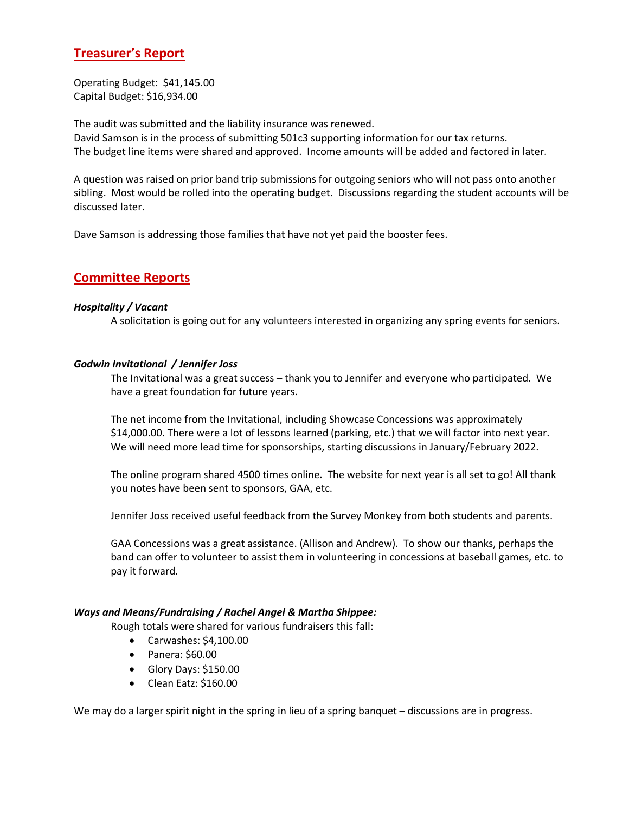# **Treasurer's Report**

Operating Budget: \$41,145.00 Capital Budget: \$16,934.00

The audit was submitted and the liability insurance was renewed. David Samson is in the process of submitting 501c3 supporting information for our tax returns. The budget line items were shared and approved. Income amounts will be added and factored in later.

A question was raised on prior band trip submissions for outgoing seniors who will not pass onto another sibling. Most would be rolled into the operating budget. Discussions regarding the student accounts will be discussed later.

Dave Samson is addressing those families that have not yet paid the booster fees.

### **Committee Reports**

#### *Hospitality / Vacant*

A solicitation is going out for any volunteers interested in organizing any spring events for seniors.

#### *Godwin Invitational / Jennifer Joss*

The Invitational was a great success – thank you to Jennifer and everyone who participated. We have a great foundation for future years.

The net income from the Invitational, including Showcase Concessions was approximately \$14,000.00. There were a lot of lessons learned (parking, etc.) that we will factor into next year. We will need more lead time for sponsorships, starting discussions in January/February 2022.

The online program shared 4500 times online. The website for next year is all set to go! All thank you notes have been sent to sponsors, GAA, etc.

Jennifer Joss received useful feedback from the Survey Monkey from both students and parents.

GAA Concessions was a great assistance. (Allison and Andrew). To show our thanks, perhaps the band can offer to volunteer to assist them in volunteering in concessions at baseball games, etc. to pay it forward.

#### *Ways and Means/Fundraising / Rachel Angel & Martha Shippee:*

Rough totals were shared for various fundraisers this fall:

- Carwashes: \$4,100.00
- Panera: \$60.00
- Glory Days: \$150.00
- Clean Eatz: \$160.00

We may do a larger spirit night in the spring in lieu of a spring banquet – discussions are in progress.